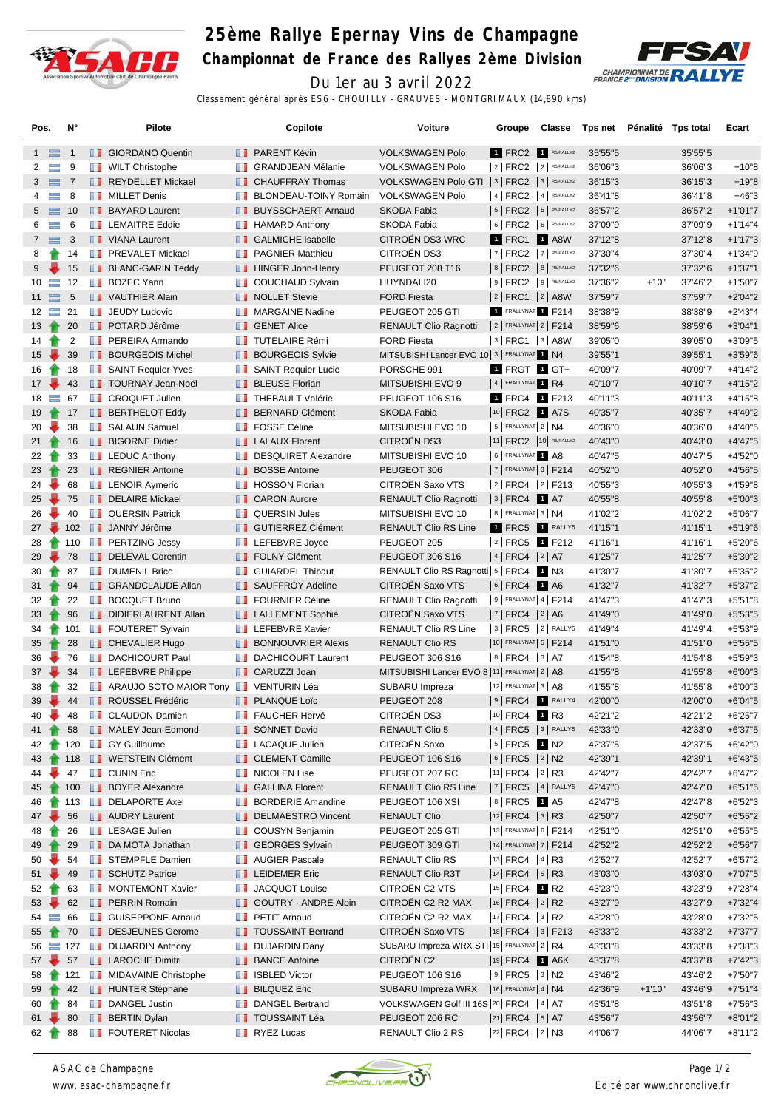

## **25ème Rallye Epernay Vins de Champagne**

**Championnat de France des Rallyes 2ème Division**



Du 1er au 3 avril 2022 Classement général après ES6 - CHOUILLY - GRAUVES - MONTGRIMAUX (14,890 kms)

| Pos.              |          | N°             |          | Pilote                        |                     | Copilote                     | <b>Voiture</b>                                 | Groupe                  | Classe                     |         | Tps net Pénalité Tps total |         | Ecart      |
|-------------------|----------|----------------|----------|-------------------------------|---------------------|------------------------------|------------------------------------------------|-------------------------|----------------------------|---------|----------------------------|---------|------------|
| $1 \equiv$        |          | -1             |          | <b>B</b> GIORDANO Quentin     |                     | <b>FRARENT Kévin</b>         | <b>VOLKSWAGEN Polo</b>                         |                         | 1 FRC2 1 R5/RALLY2         | 35'55"5 |                            | 35'55"5 |            |
| $\overline{2}$    |          | 9              |          | <b>WILT Christophe</b>        | w                   | <b>GRANDJEAN Mélanie</b>     | <b>VOLKSWAGEN Polo</b>                         |                         | $2$ FRC2 2 R5/RALLY2       | 36'06"3 |                            | 36'06"3 | $+10"8$    |
| 3                 | $\equiv$ | $\overline{7}$ |          | REYDELLET Mickael             |                     | <b>CHAUFFRAY Thomas</b>      | VOLKSWAGEN Polo GTI   3   FRC2   3   RS/RALLY2 |                         |                            | 36'15"3 |                            | 36'15"3 | $+19"8$    |
| 4                 | $\equiv$ | 8              |          | MILLET Denis                  | m                   | <b>BLONDEAU-TOINY Romain</b> | <b>VOLKSWAGEN Polo</b>                         |                         | $ 4 $ FRC2 $ 4 $ R5/RALLY2 | 36'41"8 |                            | 36'41"8 | $+46"3$    |
| $5 \equiv$        |          | 10             |          | <b>BAYARD Laurent</b>         |                     | <b>BUYSSCHAERT Arnaud</b>    | SKODA Fabia                                    |                         | $ 5 $ FRC2 $ 5 $ RS/RALLY2 | 36'57"2 |                            | 36'57"2 | $+1'01"7$  |
| 6                 | $\equiv$ | 6              |          | <b>LEMAITRE Eddie</b>         | <b>The Contract</b> | <b>HAMARD Anthony</b>        | SKODA Fabia                                    |                         | 6   FRC2   6   R5/RALLY2   | 37'09"9 |                            | 37'09"9 | $+1'14''4$ |
| $7 \equiv$        |          | 3              |          | VIANA Laurent                 |                     | <b>GALMICHE</b> Isabelle     | CITROËN DS3 WRC                                |                         | 1 FRC1 1 A8W               | 37'12"8 |                            | 37'12"8 | $+1'17"3$  |
| 8                 |          | 14             |          | <b>FREVALET Mickael</b>       | ш                   | <b>PAGNIER Matthieu</b>      | <b>CITROËN DS3</b>                             |                         | $ 7 $ FRC2 $ 7 $ R5/RALLY2 | 37'30"4 |                            | 37'30"4 | $+1'34''9$ |
| 9                 |          | 15             |          | <b>BLANC-GARIN Teddy</b>      |                     | <b>HINGER John-Henry</b>     | PEUGEOT 208 T16                                |                         | $8$ FRC2 $8$ R5/RALLY2     | 37'32"6 |                            | 37'32"6 | $+1'37"1$  |
| 10                | $\equiv$ | 12             |          | <b>BOZEC Yann</b>             | ш                   | <b>COUCHAUD Sylvain</b>      | HUYNDAI I20                                    |                         | $ 9 $ FRC2 $ 9 $ RS/RALLY2 | 37'36"2 | $+10"$                     | 37'46"2 | $+1'50"7$  |
| $11 \equiv$       |          | 5              |          | <b>NEW VAUTHIER Alain</b>     |                     | NOLLET Stevie                | <b>FORD Fiesta</b>                             |                         | $ 2 $ FRC1 $ 2 $ A8W       | 37'59"7 |                            | 37'59"7 | $+2'04''2$ |
| $12 \equiv$       |          | 21             |          | <b>JEUDY Ludovic</b>          | ш                   | <b>MARGAINE Nadine</b>       | PEUGEOT 205 GTI                                |                         | 1 FRALLYNAT 1 F214         | 38'38"9 |                            | 38'38"9 | $+2'43''4$ |
| 13                |          | 20             |          | <b>POTARD Jérôme</b>          |                     | <b>B</b> GENET Alice         | <b>RENAULT Clio Ragnotti</b>                   |                         | $ 2 $ FRALLYNAT $ 2 $ F214 | 38'59"6 |                            | 38'59"6 | $+3'04"1$  |
| 14                |          | $\overline{2}$ | m        | PEREIRA Armando               | w                   | <b>TUTELAIRE Rémi</b>        | <b>FORD Fiesta</b>                             |                         | 3   FRC1   3   A8W         | 39'05"0 |                            | 39'05"0 | +3'09"5    |
| 15 <sup>15</sup>  |          | 39             |          | <b>BOURGEOIS Michel</b>       |                     | <b>BOURGEOIS Sylvie</b>      | MITSUBISHI Lancer EVO 10 3   FRALLYNAT 1 N4    |                         |                            | 39'55"1 |                            | 39'55"1 | +3'59"6    |
| 16                |          | 18             | H.       | <b>SAINT Requier Yves</b>     |                     | <b>SAINT Requier Lucie</b>   | PORSCHE 991                                    |                         | 1 FRGT 1 GT+               | 40'09"7 |                            | 40'09"7 | +4'14"2    |
| 17 <sup>2</sup>   |          | 43             |          | <b>TOURNAY Jean-Noël</b>      |                     | <b>BLEUSE Florian</b>        | MITSUBISHI EVO 9                               | $ 4 $ FRALLYNAT 1 R4    |                            | 40'10"7 |                            | 40'10"7 | $+4'15''2$ |
| $18 \equiv$       |          | 67             |          | <b>T</b> CROQUET Julien       |                     | <b>THEBAULT Valérie</b>      | PEUGEOT 106 S16                                |                         | 1 FRC4 1 F213              | 40'11"3 |                            | 40'11"3 | +4'15"8    |
| 19                |          | 17             |          | <b>BERTHELOT Eddy</b>         |                     | <b>BERNARD Clément</b>       | SKODA Fabia                                    |                         | 10 FRC2 1 A7S              | 40'35"7 |                            | 40'35"7 | $+4'40''2$ |
| 20                |          | 38             | ш        | <b>SALAUN Samuel</b>          | w                   | <b>FOSSE Céline</b>          | MITSUBISHI EVO 10                              | $ 5 $ FRALLYNAT $2 NA$  |                            | 40'36"0 |                            | 40'36"0 | $+4'40"5$  |
| $21 \t1$          |          | 16             |          | <b>BIGORNE Didier</b>         |                     | <b>LALAUX Florent</b>        | <b>CITROËN DS3</b>                             |                         | 11 FRC2 10 R5/RALLY2       | 40'43"0 |                            | 40'43"0 | $+4'47"5$  |
| 22                |          | 33             |          | <b>EXECUTE LEDUC Anthony</b>  | ш                   | <b>DESQUIRET Alexandre</b>   | MITSUBISHI EVO 10                              | 6 FRALLYNAT 1 A8        |                            | 40'47"5 |                            | 40'47"5 | +4'52"0    |
| 23                |          | 23             |          | <b>REGNIER Antoine</b>        |                     | <b>BOSSE Antoine</b>         | PEUGEOT 306                                    |                         | $ 7 $ FRALLYNAT $3 F214$   | 40'52"0 |                            | 40'52"0 | +4'56"5    |
| 24                |          | 68             |          | <b>EXAMPLE LENOIR Aymeric</b> |                     | <b>HOSSON Florian</b>        | CITROËN Saxo VTS                               |                         | 2   FRC4   2   F213        | 40'55"3 |                            | 40'55"3 | +4'59"8    |
| 25 <sub>2</sub>   |          | 75             |          | DELAIRE Mickael               |                     | <b>CARON Aurore</b>          | <b>RENAULT Clio Ragnotti</b>                   | $ 3 $ FRC4 1 A7         |                            | 40'55"8 |                            | 40'55"8 | $+5'00''3$ |
| 26                |          | 40             |          | <b>QUERSIN Patrick</b>        | ш                   | <b>QUERSIN Jules</b>         | MITSUBISHI EVO 10                              | $ 8 $ FRALLYNAT $ 3 N4$ |                            | 41'02"2 |                            | 41'02"2 | +5'06"7    |
| $27 -$            |          |                |          | 102 JANNY Jérôme              |                     | GUTIERREZ Clément            | <b>RENAULT Clio RS Line</b>                    |                         | 1 FRC5 1 RALLY5            | 41'15"1 |                            | 41'15"1 | $+5'19"6$  |
| 28                |          | 110            |          | <b>FERTZING Jessy</b>         | w                   | LEFEBVRE Joyce               | PEUGEOT 205                                    |                         | 2 FRC5 1 F212              | 41'16"1 |                            | 41'16"1 | +5'20"6    |
| $29 -$            |          | 78             |          | DELEVAL Corentin              |                     | <b>FOLNY Clément</b>         | PEUGEOT 306 S16                                | $ 4 $ FRC4 $ 2 $ A7     |                            | 41'25"7 |                            | 41'25"7 | +5'30"2    |
| 30                |          | 87             |          | <b>DUMENIL Brice</b>          |                     | <b>GUIARDEL Thibaut</b>      | RENAULT Clio RS Ragnotti   5   FRC4   1 N3     |                         |                            | 41'30"7 |                            | 41'30"7 | +5'35"2    |
| 31 <sub>1</sub>   |          | 94             | <b>A</b> | <b>GRANDCLAUDE Allan</b>      |                     | SAUFFROY Adeline             | CITROËN Saxo VTS                               | $ 6 $ FRC4 1 A6         |                            | 41'32"7 |                            | 41'32"7 | $+5'37"2$  |
| 32                |          | 22             |          | <b>BOCQUET Bruno</b>          |                     | <b>FOURNIER Céline</b>       | <b>RENAULT Clio Ragnotti</b>                   |                         | $ 9 $ FRALLYNAT 4   F214   | 41'47"3 |                            | 41'47"3 | $+5'51"8$  |
| 33                |          | 96             |          | DIDIERLAURENT Allan           |                     | <b>LE</b> LALLEMENT Sophie   | CITROËN Saxo VTS                               | $ 7 $ FRC4 $ 2 $ A6     |                            | 41'49"0 |                            | 41'49"0 | $+5'53"5$  |
| 34                |          | 101            |          | <b>FOUTERET Sylvain</b>       |                     | <b>LEFEBVRE Xavier</b>       | <b>RENAULT Clio RS Line</b>                    |                         | $ 3 $ FRC5 $ 2 $ RALLY5    | 41'49"4 |                            | 41'49"4 | +5'53"9    |
| 35                |          | 28             |          | <b>CHEVALIER Hugo</b>         |                     | <b>BONNOUVRIER Alexis</b>    | <b>RENAULT Clio RS</b>                         |                         | 10 FRALLYNAT 5   F214      | 41'51"0 |                            | 41'51"0 | $+5'55"5$  |
| 36                |          | 76             |          | <b>DACHICOURT Paul</b>        |                     | <b>DACHICOURT Laurent</b>    | PEUGEOT 306 S16                                | $ 8 $ FRC4 $ 3 $ A7     |                            | 41'54"8 |                            | 41'54"8 | $+5'59''3$ |
| 37                |          | 34             |          | <b>LEFEBVRE Philippe</b>      |                     | <b>CARUZZI Joan</b>          | MITSUBISHI Lancer EVO 8  11   FRALLYNAT 2   A8 |                         |                            | 41'55"8 |                            | 41'55"8 | $+6'00''3$ |
| 38                |          | 32             |          | ARAUJO SOTO MAIOR Tony        |                     | VENTURIN Léa                 | SUBARU Impreza                                 | 12 FRALLYNAT 3   A8     |                            | 41'55"8 |                            | 41'55"8 | $+6'00''3$ |
| $39 -$            |          | 44             |          | ROUSSEL Frédéric              |                     | <b>PLANQUE Loïc</b>          | PEUGEOT 208                                    |                         | $ 9 $ FRC4 1 RALLY4        | 42'00"0 |                            | 42'00"0 | $+6'04"5$  |
| 40                |          | 48             |          | <b>CLAUDON Damien</b>         | ш                   | <b>FAUCHER Hervé</b>         | <b>CITROEN DS3</b>                             | $ 10 $ FRC4 1 R3        |                            | 42'21"2 |                            | 42'21"2 | +6'25"7    |
| 41                |          | 58             |          | MALEY Jean-Edmond             |                     | SONNET David                 | <b>RENAULT Clio 5</b>                          |                         | $ 4 $ FRC5 $ 3 $ RALLY5    | 42'33"0 |                            | 42'33"0 | $+6'37"5$  |
| 42                |          |                |          | 120 <b>B</b> GY Guillaume     |                     | <b>LE</b> LACAQUE Julien     | CITROËN Saxo                                   |                         | $ 5 $ FRC5 1 N2            | 42'37"5 |                            | 42'37"5 | $+6'42"0$  |
| 43                |          | 118            |          | <b>NETSTEIN Clément</b>       |                     | CLEMENT Camille              | PEUGEOT 106 S16                                | 6   FRC5   2   N2       |                            | 42'39"1 |                            | 42'39"1 | $+6'43''6$ |
| 44                |          | 47             |          | <b>D</b> CUNIN Eric           |                     | NICOLEN Lise                 | PEUGEOT 207 RC                                 | $ 11 $ FRC4 $ 2 $ R3    |                            | 42'42"7 |                            | 42'42"7 | $+6'47"2$  |
| $45$ <del>1</del> |          | 100            |          | <b>BOYER Alexandre</b>        |                     | <b>B</b> GALLINA Florent     | <b>RENAULT Clio RS Line</b>                    |                         | $ 7 $ FRC5 $ 4 $ RALLY5    | 42'47"0 |                            | 42'47"0 | $+6'51"5$  |
| 46                |          | 113            |          | <b>DELAPORTE Axel</b>         |                     | <b>BORDERIE Amandine</b>     | PEUGEOT 106 XSI                                | $ 8 $ FRC5 1 A5         |                            | 42'47"8 |                            | 42'47"8 | $+6'52''3$ |
| $47 -$            |          | 56             |          | AUDRY Laurent                 |                     | DELMAESTRO Vincent           | <b>RENAULT Clio</b>                            | $ 12 $ FRC4 $ 3 $ R3    |                            | 42'50"7 |                            | 42'50"7 | $+6'55"2$  |
| 48                |          | 26             |          | <b>EXAGE Julien</b>           |                     | <b>COUSYN Benjamin</b>       | PEUGEOT 205 GTI                                |                         | 13 FRALLYNAT 6   F214      | 42'51"0 |                            | 42'51"0 | +6'55"5    |
| 49                |          | 29             |          | DA MOTA Jonathan              |                     | <b>SEORGES Sylvain</b>       | PEUGEOT 309 GTI                                |                         | 14 FRALLYNAT 7   F214      | 42'52"2 |                            | 42'52"2 | $+6'56''7$ |
| 50                |          | 54             |          | STEMPFLE Damien               | ш                   | <b>AUGIER Pascale</b>        | <b>RENAULT Clio RS</b>                         | $ 13 $ FRC4 $ 4 $ R3    |                            | 42'52"7 |                            | 42'52"7 | $+6'57"2$  |
| $51 -$            |          | 49             |          | SCHUTZ Patrice                |                     | <b>LEIDEMER Eric</b>         | RENAULT Clio R3T                               | 14  FRC4   5   R3       |                            | 43'03"0 |                            | 43'03"0 | $+7'07"5$  |
| 52                |          | 63             |          | <b>NONTEMONT Xavier</b>       | a se                | JACQUOT Louise               | CITROËN C2 VTS                                 |                         | 15 FRC4 1 R2               | 43'23"9 |                            | 43'23"9 | $+7'28''4$ |
| $53 -$            |          | 62             |          | <b>PERRIN Romain</b>          |                     | GOUTRY - ANDRE Albin         | CITROEN C2 R2 MAX                              | $ 16 $ FRC4 $ 2 $ R2    |                            | 43'27"9 |                            | 43'27"9 | $+7'32''4$ |
| $54 =$            |          | 66             |          | <b>B</b> GUISEPPONE Arnaud    |                     | <b>PETIT Arnaud</b>          | CITROËN C2 R2 MAX                              | $ 17 $ FRC4 $ 3 $ R2    |                            | 43'28"0 |                            | 43'28"0 | $+7'32"5$  |
| 55                |          | 70             |          | DESJEUNES Gerome              |                     | <b>TOUSSAINT Bertrand</b>    | CITROËN Saxo VTS                               |                         | $ 18 $ FRC4 $ 3 $ F213     | 43'33"2 |                            | 43'33"2 | $+7'37''7$ |
|                   |          | $56 = 127$     |          | <b>DUJARDIN Anthony</b>       |                     | <b>DUJARDIN Dany</b>         | SUBARU Impreza WRX STI 15 FRALLYNAT 2   R4     |                         |                            | 43'33"8 |                            | 43'33"8 | $+7'38''3$ |
| $57 \leftarrow$   |          | 57             |          | <b>LE</b> LAROCHE Dimitri     |                     | <b>BANCE Antoine</b>         | CITROËN C2                                     |                         | 19 FRC4 1 A6K              | 43'37"8 |                            | 43'37"8 | $+7'42''3$ |
| 58                |          | 121            |          | <b>NIDAVAINE Christophe</b>   |                     | <b>B</b> ISBLED Victor       | PEUGEOT 106 S16                                | $ 9 $ FRC5 $ 3 $ N2     |                            | 43'46"2 |                            | 43'46"2 | $+7'50''7$ |
| 59                |          | 42             |          | <b>HUNTER Stéphane</b>        |                     | <b>BILQUEZ Eric</b>          | SUBARU Impreza WRX                             | $ 16 $ FRALLYNAT 4   N4 |                            | 42'36"9 | $+1'10"$                   | 43'46"9 | $+7'51''4$ |
| 60                |          | 84             |          | <b>DANGEL Justin</b>          |                     | DANGEL Bertrand              | VOLKSWAGEN Golf III 16S 20 FRC4   4   A7       |                         |                            | 43'51"8 |                            | 43'51"8 | +7'56"3    |
| $61 -$            |          | 80             |          | <b>BERTIN Dylan</b>           |                     | <b>TOUSSAINT Léa</b>         | PEUGEOT 206 RC                                 | $ 21 $ FRC4 $ 5 $ A7    |                            | 43'56"7 |                            | 43'56"7 | $+8'01"2$  |
| $62 +$            |          | 88             |          | FOUTERET Nicolas              |                     | <b>RYEZ Lucas</b>            | RENAULT Clio 2 RS                              | $ 22 $ FRC4 $ 2 $ N3    |                            | 44'06"7 |                            | 44'06"7 | $+8'11''2$ |